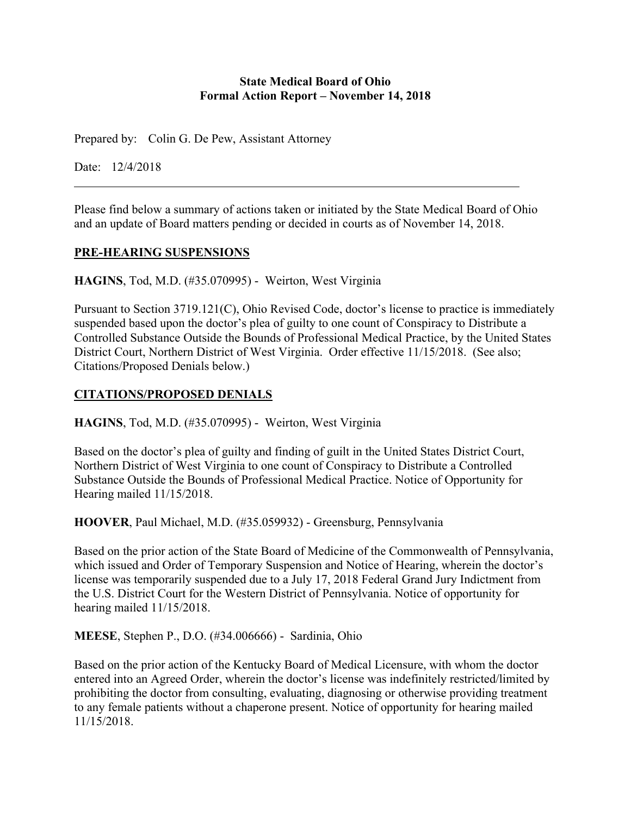#### **State Medical Board of Ohio Formal Action Report – November 14, 2018**

Prepared by: Colin G. De Pew, Assistant Attorney

Date: 12/4/2018

Please find below a summary of actions taken or initiated by the State Medical Board of Ohio and an update of Board matters pending or decided in courts as of November 14, 2018.

#### **PRE-HEARING SUSPENSIONS**

**HAGINS**, Tod, M.D. (#35.070995) - Weirton, West Virginia

Pursuant to Section 3719.121(C), Ohio Revised Code, doctor's license to practice is immediately suspended based upon the doctor's plea of guilty to one count of Conspiracy to Distribute a Controlled Substance Outside the Bounds of Professional Medical Practice, by the United States District Court, Northern District of West Virginia. Order effective 11/15/2018. (See also; Citations/Proposed Denials below.)

# **CITATIONS/PROPOSED DENIALS**

**HAGINS**, Tod, M.D. (#35.070995) - Weirton, West Virginia

Based on the doctor's plea of guilty and finding of guilt in the United States District Court, Northern District of West Virginia to one count of Conspiracy to Distribute a Controlled Substance Outside the Bounds of Professional Medical Practice. Notice of Opportunity for Hearing mailed 11/15/2018.

**HOOVER**, Paul Michael, M.D. (#35.059932) - Greensburg, Pennsylvania

Based on the prior action of the State Board of Medicine of the Commonwealth of Pennsylvania, which issued and Order of Temporary Suspension and Notice of Hearing, wherein the doctor's license was temporarily suspended due to a July 17, 2018 Federal Grand Jury Indictment from the U.S. District Court for the Western District of Pennsylvania. Notice of opportunity for hearing mailed 11/15/2018.

**MEESE**, Stephen P., D.O. (#34.006666) - Sardinia, Ohio

Based on the prior action of the Kentucky Board of Medical Licensure, with whom the doctor entered into an Agreed Order, wherein the doctor's license was indefinitely restricted/limited by prohibiting the doctor from consulting, evaluating, diagnosing or otherwise providing treatment to any female patients without a chaperone present. Notice of opportunity for hearing mailed 11/15/2018.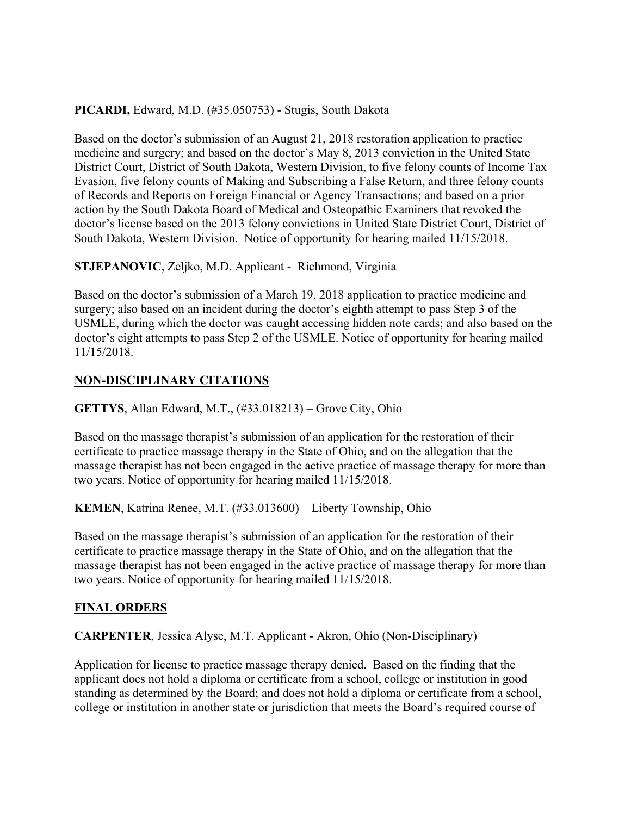# **PICARDI,** Edward, M.D. (#35.050753) - Stugis, South Dakota

Based on the doctor's submission of an August 21, 2018 restoration application to practice medicine and surgery; and based on the doctor's May 8, 2013 conviction in the United State District Court, District of South Dakota, Western Division, to five felony counts of Income Tax Evasion, five felony counts of Making and Subscribing a False Return, and three felony counts of Records and Reports on Foreign Financial or Agency Transactions; and based on a prior action by the South Dakota Board of Medical and Osteopathic Examiners that revoked the doctor's license based on the 2013 felony convictions in United State District Court, District of South Dakota, Western Division. Notice of opportunity for hearing mailed 11/15/2018.

# **STJEPANOVIC**, Zeljko, M.D. Applicant - Richmond, Virginia

Based on the doctor's submission of a March 19, 2018 application to practice medicine and surgery; also based on an incident during the doctor's eighth attempt to pass Step 3 of the USMLE, during which the doctor was caught accessing hidden note cards; and also based on the doctor's eight attempts to pass Step 2 of the USMLE. Notice of opportunity for hearing mailed 11/15/2018.

# **NON-DISCIPLINARY CITATIONS**

**GETTYS**, Allan Edward, M.T., (#33.018213) – Grove City, Ohio

Based on the massage therapist's submission of an application for the restoration of their certificate to practice massage therapy in the State of Ohio, and on the allegation that the massage therapist has not been engaged in the active practice of massage therapy for more than two years. Notice of opportunity for hearing mailed 11/15/2018.

**KEMEN**, Katrina Renee, M.T. (#33.013600) – Liberty Township, Ohio

Based on the massage therapist's submission of an application for the restoration of their certificate to practice massage therapy in the State of Ohio, and on the allegation that the massage therapist has not been engaged in the active practice of massage therapy for more than two years. Notice of opportunity for hearing mailed 11/15/2018.

# **FINAL ORDERS**

**CARPENTER**, Jessica Alyse, M.T. Applicant - Akron, Ohio (Non-Disciplinary)

Application for license to practice massage therapy denied. Based on the finding that the applicant does not hold a diploma or certificate from a school, college or institution in good standing as determined by the Board; and does not hold a diploma or certificate from a school, college or institution in another state or jurisdiction that meets the Board's required course of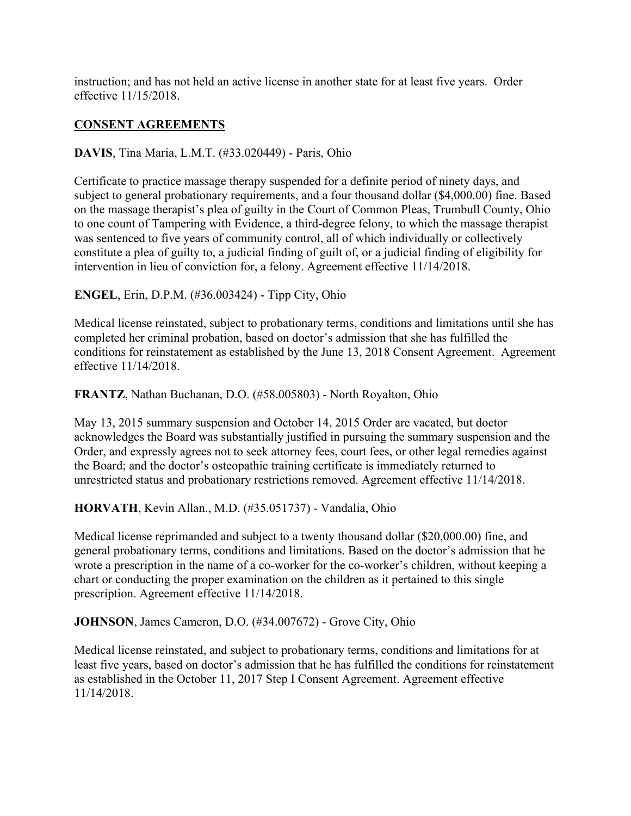instruction; and has not held an active license in another state for at least five years. Order effective 11/15/2018.

# **CONSENT AGREEMENTS**

**DAVIS**, Tina Maria, L.M.T. (#33.020449) - Paris, Ohio

Certificate to practice massage therapy suspended for a definite period of ninety days, and subject to general probationary requirements, and a four thousand dollar (\$4,000.00) fine. Based on the massage therapist's plea of guilty in the Court of Common Pleas, Trumbull County, Ohio to one count of Tampering with Evidence, a third-degree felony, to which the massage therapist was sentenced to five years of community control, all of which individually or collectively constitute a plea of guilty to, a judicial finding of guilt of, or a judicial finding of eligibility for intervention in lieu of conviction for, a felony. Agreement effective 11/14/2018.

**ENGEL**, Erin, D.P.M. (#36.003424) - Tipp City, Ohio

Medical license reinstated, subject to probationary terms, conditions and limitations until she has completed her criminal probation, based on doctor's admission that she has fulfilled the conditions for reinstatement as established by the June 13, 2018 Consent Agreement. Agreement effective 11/14/2018.

**FRANTZ**, Nathan Buchanan, D.O. (#58.005803) - North Royalton, Ohio

May 13, 2015 summary suspension and October 14, 2015 Order are vacated, but doctor acknowledges the Board was substantially justified in pursuing the summary suspension and the Order, and expressly agrees not to seek attorney fees, court fees, or other legal remedies against the Board; and the doctor's osteopathic training certificate is immediately returned to unrestricted status and probationary restrictions removed. Agreement effective 11/14/2018.

**HORVATH**, Kevin Allan., M.D. (#35.051737) - Vandalia, Ohio

Medical license reprimanded and subject to a twenty thousand dollar (\$20,000.00) fine, and general probationary terms, conditions and limitations. Based on the doctor's admission that he wrote a prescription in the name of a co-worker for the co-worker's children, without keeping a chart or conducting the proper examination on the children as it pertained to this single prescription. Agreement effective 11/14/2018.

**JOHNSON**, James Cameron, D.O. (#34.007672) - Grove City, Ohio

Medical license reinstated, and subject to probationary terms, conditions and limitations for at least five years, based on doctor's admission that he has fulfilled the conditions for reinstatement as established in the October 11, 2017 Step I Consent Agreement. Agreement effective 11/14/2018.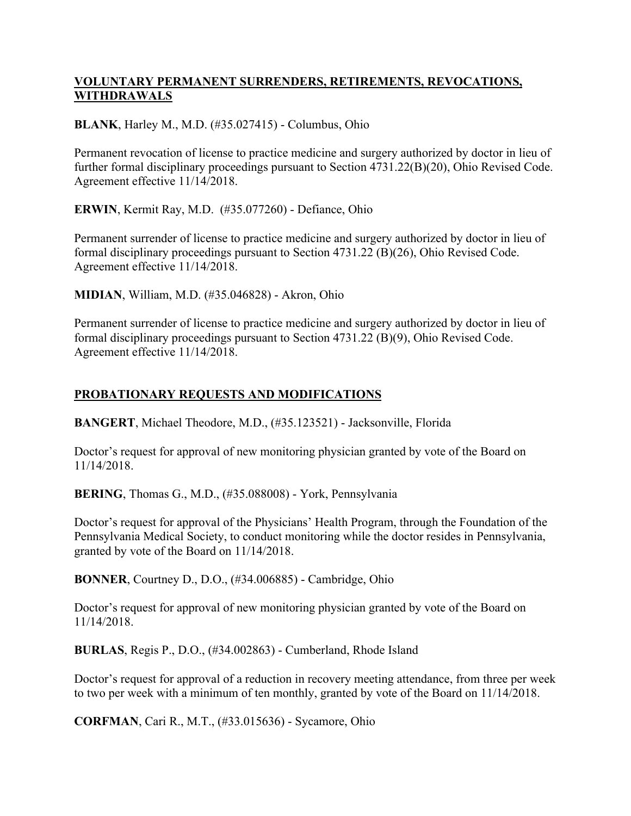# **VOLUNTARY PERMANENT SURRENDERS, RETIREMENTS, REVOCATIONS, WITHDRAWALS**

**BLANK**, Harley M., M.D. (#35.027415) - Columbus, Ohio

Permanent revocation of license to practice medicine and surgery authorized by doctor in lieu of further formal disciplinary proceedings pursuant to Section 4731.22(B)(20), Ohio Revised Code. Agreement effective 11/14/2018.

**ERWIN**, Kermit Ray, M.D. (#35.077260) - Defiance, Ohio

Permanent surrender of license to practice medicine and surgery authorized by doctor in lieu of formal disciplinary proceedings pursuant to Section 4731.22 (B)(26), Ohio Revised Code. Agreement effective 11/14/2018.

**MIDIAN**, William, M.D. (#35.046828) - Akron, Ohio

Permanent surrender of license to practice medicine and surgery authorized by doctor in lieu of formal disciplinary proceedings pursuant to Section 4731.22 (B)(9), Ohio Revised Code. Agreement effective 11/14/2018.

# **PROBATIONARY REQUESTS AND MODIFICATIONS**

**BANGERT**, Michael Theodore, M.D., (#35.123521) - Jacksonville, Florida

Doctor's request for approval of new monitoring physician granted by vote of the Board on 11/14/2018.

**BERING**, Thomas G., M.D., (#35.088008) - York, Pennsylvania

Doctor's request for approval of the Physicians' Health Program, through the Foundation of the Pennsylvania Medical Society, to conduct monitoring while the doctor resides in Pennsylvania, granted by vote of the Board on 11/14/2018.

**BONNER**, Courtney D., D.O., (#34.006885) - Cambridge, Ohio

Doctor's request for approval of new monitoring physician granted by vote of the Board on 11/14/2018.

**BURLAS**, Regis P., D.O., (#34.002863) - Cumberland, Rhode Island

Doctor's request for approval of a reduction in recovery meeting attendance, from three per week to two per week with a minimum of ten monthly, granted by vote of the Board on 11/14/2018.

**CORFMAN**, Cari R., M.T., (#33.015636) - Sycamore, Ohio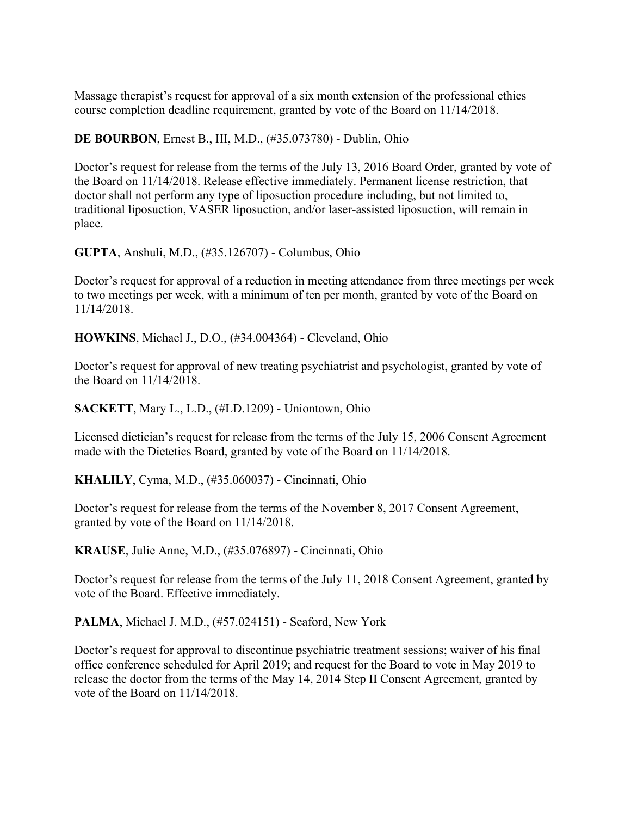Massage therapist's request for approval of a six month extension of the professional ethics course completion deadline requirement, granted by vote of the Board on 11/14/2018.

**DE BOURBON**, Ernest B., III, M.D., (#35.073780) - Dublin, Ohio

Doctor's request for release from the terms of the July 13, 2016 Board Order, granted by vote of the Board on 11/14/2018. Release effective immediately. Permanent license restriction, that doctor shall not perform any type of liposuction procedure including, but not limited to, traditional liposuction, VASER liposuction, and/or laser-assisted liposuction, will remain in place.

**GUPTA**, Anshuli, M.D., (#35.126707) - Columbus, Ohio

Doctor's request for approval of a reduction in meeting attendance from three meetings per week to two meetings per week, with a minimum of ten per month, granted by vote of the Board on 11/14/2018.

**HOWKINS**, Michael J., D.O., (#34.004364) - Cleveland, Ohio

Doctor's request for approval of new treating psychiatrist and psychologist, granted by vote of the Board on 11/14/2018.

**SACKETT**, Mary L., L.D., (#LD.1209) - Uniontown, Ohio

Licensed dietician's request for release from the terms of the July 15, 2006 Consent Agreement made with the Dietetics Board, granted by vote of the Board on 11/14/2018.

**KHALILY**, Cyma, M.D., (#35.060037) - Cincinnati, Ohio

Doctor's request for release from the terms of the November 8, 2017 Consent Agreement, granted by vote of the Board on 11/14/2018.

**KRAUSE**, Julie Anne, M.D., (#35.076897) - Cincinnati, Ohio

Doctor's request for release from the terms of the July 11, 2018 Consent Agreement, granted by vote of the Board. Effective immediately.

**PALMA**, Michael J. M.D., (#57.024151) - Seaford, New York

Doctor's request for approval to discontinue psychiatric treatment sessions; waiver of his final office conference scheduled for April 2019; and request for the Board to vote in May 2019 to release the doctor from the terms of the May 14, 2014 Step II Consent Agreement, granted by vote of the Board on 11/14/2018.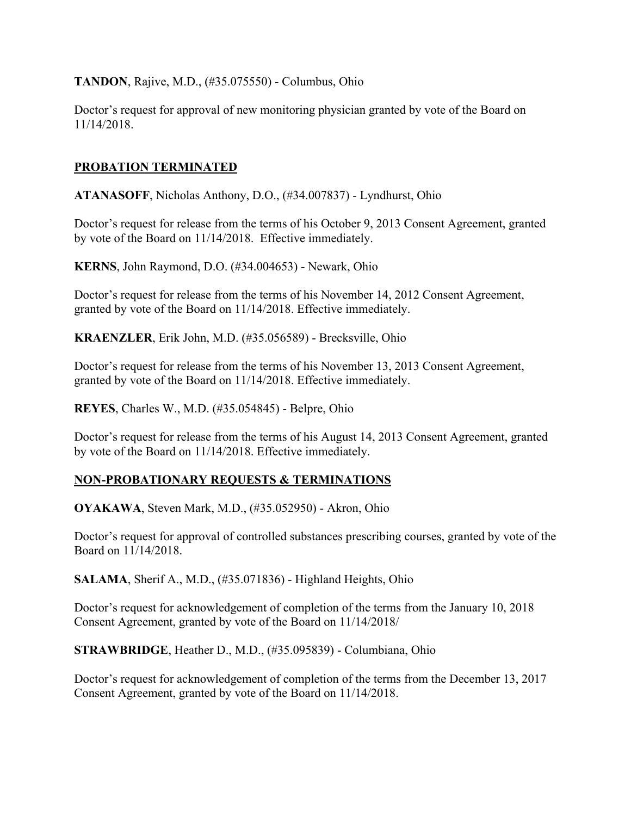**TANDON**, Rajive, M.D., (#35.075550) - Columbus, Ohio

Doctor's request for approval of new monitoring physician granted by vote of the Board on 11/14/2018.

#### **PROBATION TERMINATED**

**ATANASOFF**, Nicholas Anthony, D.O., (#34.007837) - Lyndhurst, Ohio

Doctor's request for release from the terms of his October 9, 2013 Consent Agreement, granted by vote of the Board on 11/14/2018. Effective immediately.

**KERNS**, John Raymond, D.O. (#34.004653) - Newark, Ohio

Doctor's request for release from the terms of his November 14, 2012 Consent Agreement, granted by vote of the Board on 11/14/2018. Effective immediately.

**KRAENZLER**, Erik John, M.D. (#35.056589) - Brecksville, Ohio

Doctor's request for release from the terms of his November 13, 2013 Consent Agreement, granted by vote of the Board on 11/14/2018. Effective immediately.

**REYES**, Charles W., M.D. (#35.054845) - Belpre, Ohio

Doctor's request for release from the terms of his August 14, 2013 Consent Agreement, granted by vote of the Board on 11/14/2018. Effective immediately.

# **NON-PROBATIONARY REQUESTS & TERMINATIONS**

**OYAKAWA**, Steven Mark, M.D., (#35.052950) - Akron, Ohio

Doctor's request for approval of controlled substances prescribing courses, granted by vote of the Board on 11/14/2018.

**SALAMA**, Sherif A., M.D., (#35.071836) - Highland Heights, Ohio

Doctor's request for acknowledgement of completion of the terms from the January 10, 2018 Consent Agreement, granted by vote of the Board on 11/14/2018/

**STRAWBRIDGE**, Heather D., M.D., (#35.095839) - Columbiana, Ohio

Doctor's request for acknowledgement of completion of the terms from the December 13, 2017 Consent Agreement, granted by vote of the Board on 11/14/2018.